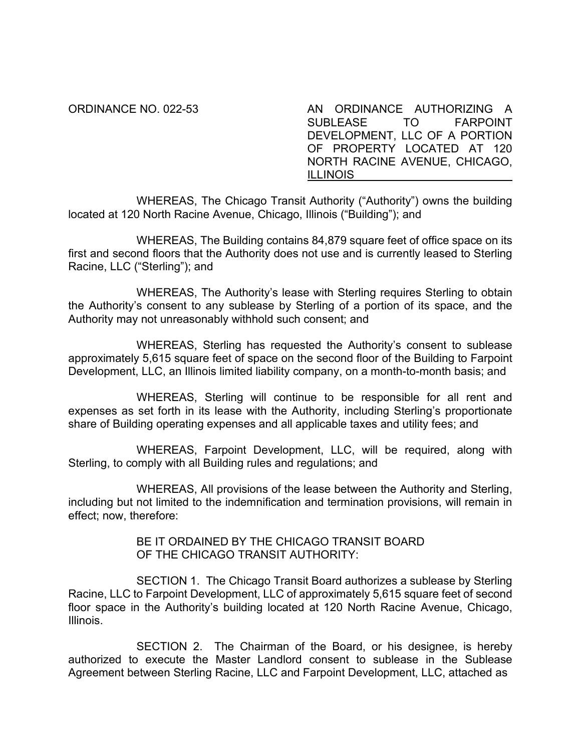ORDINANCE NO. 022-53 AN ORDINANCE AUTHORIZING A SUBLEASE TO FARPOINT DEVELOPMENT, LLC OF A PORTION OF PROPERTY LOCATED AT 120 NORTH RACINE AVENUE, CHICAGO, ILLINOIS

WHEREAS, The Chicago Transit Authority ("Authority") owns the building located at 120 North Racine Avenue, Chicago, Illinois ("Building"); and

WHEREAS, The Building contains 84,879 square feet of office space on its first and second floors that the Authority does not use and is currently leased to Sterling Racine, LLC ("Sterling"); and

WHEREAS, The Authority's lease with Sterling requires Sterling to obtain the Authority's consent to any sublease by Sterling of a portion of its space, and the Authority may not unreasonably withhold such consent; and

WHEREAS, Sterling has requested the Authority's consent to sublease approximately 5,615 square feet of space on the second floor of the Building to Farpoint Development, LLC, an Illinois limited liability company, on a month-to-month basis; and

WHEREAS, Sterling will continue to be responsible for all rent and expenses as set forth in its lease with the Authority, including Sterling's proportionate share of Building operating expenses and all applicable taxes and utility fees; and

WHEREAS, Farpoint Development, LLC, will be required, along with Sterling, to comply with all Building rules and regulations; and

WHEREAS, All provisions of the lease between the Authority and Sterling, including but not limited to the indemnification and termination provisions, will remain in effect; now, therefore:

> BE IT ORDAINED BY THE CHICAGO TRANSIT BOARD OF THE CHICAGO TRANSIT AUTHORITY:

SECTION 1. The Chicago Transit Board authorizes a sublease by Sterling Racine, LLC to Farpoint Development, LLC of approximately 5,615 square feet of second floor space in the Authority's building located at 120 North Racine Avenue, Chicago, Illinois.

SECTION 2. The Chairman of the Board, or his designee, is hereby authorized to execute the Master Landlord consent to sublease in the Sublease Agreement between Sterling Racine, LLC and Farpoint Development, LLC, attached as